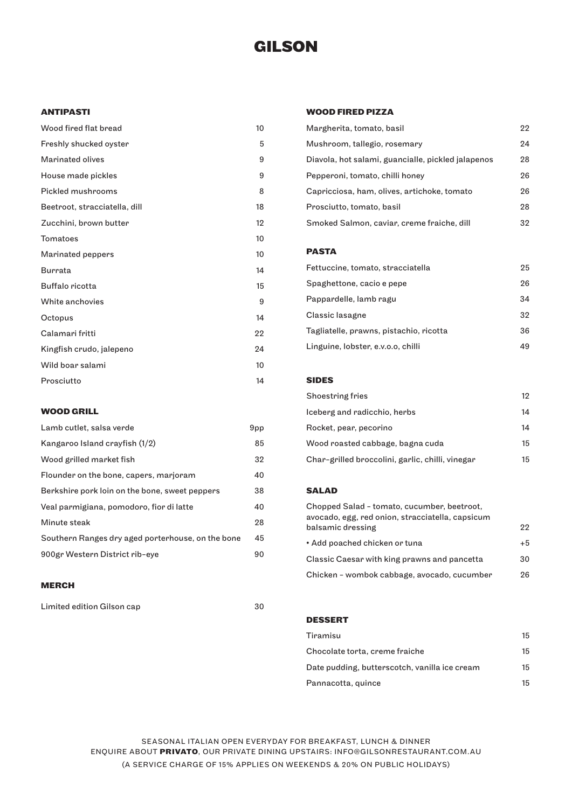# **GILSON**

## **ANTIPASTI**

| Wood fired flat bread         | 10 |
|-------------------------------|----|
| Freshly shucked oyster        | 5  |
| <b>Marinated olives</b>       | 9  |
| House made pickles            | 9  |
| <b>Pickled mushrooms</b>      | 8  |
| Beetroot, stracciatella, dill | 18 |
| Zucchini, brown butter        | 12 |
| Tomatoes                      | 10 |
| Marinated peppers             | 10 |
| Burrata                       | 14 |
| Buffalo ricotta               | 15 |
| White anchovies               | 9  |
| Octopus                       | 14 |
| Calamari fritti               | 22 |
| Kingfish crudo, jalepeno      | 24 |
| Wild boar salami              | 10 |
| Prosciutto                    | 14 |

## **WOOD GRILL**

| Lamb cutlet, salsa verde                          | 9pp |
|---------------------------------------------------|-----|
| Kangaroo Island crayfish (1/2)                    | 85  |
| Wood grilled market fish                          | 32  |
| Flounder on the bone, capers, marjoram            | 40  |
| Berkshire pork loin on the bone, sweet peppers    | 38  |
| Veal parmigiana, pomodoro, fior di latte          | 40  |
| Minute steak                                      | 28  |
| Southern Ranges dry aged porterhouse, on the bone | 45  |
| 900gr Western District rib-eye                    | 90  |

## **MERCH**

Limited edition Gilson cap 30

## **WOOD FIRED PIZZA**

| Margherita, tomato, basil                          | 22 |
|----------------------------------------------------|----|
| Mushroom, tallegio, rosemary                       | 94 |
| Diavola, hot salami, guancialle, pickled jalapenos | 28 |
| Pepperoni, tomato, chilli honey                    | 26 |
| Capricciosa, ham, olives, artichoke, tomato        | 26 |
| Prosciutto, tomato, basil                          | 28 |
| Smoked Salmon, caviar, creme fraiche, dill         | 32 |
|                                                    |    |
| <b>DACTA</b>                                       |    |

#### **PASTA**

| Fettuccine, tomato, stracciatella       | 25  |
|-----------------------------------------|-----|
| Spaghettone, cacio e pepe               | 26  |
| Pappardelle, lamb ragu                  | 34  |
| Classic lasagne                         | 32  |
| Tagliatelle, prawns, pistachio, ricotta | 36. |
| Linguine, lobster, e.v.o.o, chilli      | 49  |

## **SIDES**

| Shoestring fries                                 | 12 |
|--------------------------------------------------|----|
| Iceberg and radicchio, herbs                     | 14 |
| Rocket, pear, pecorino                           | 14 |
| Wood roasted cabbage, bagna cuda                 | 15 |
| Char-grilled broccolini, garlic, chilli, vinegar | 15 |

## **SALAD**

| Chopped Salad - tomato, cucumber, beetroot,<br>avocado, egg, red onion, stracciatella, capsicum |      |
|-------------------------------------------------------------------------------------------------|------|
| balsamic dressing                                                                               | 22   |
| • Add poached chicken or tuna                                                                   | $+5$ |
| Classic Caesar with king prawns and pancetta                                                    | 30   |
| Chicken - wombok cabbage, avocado, cucumber                                                     | 26   |

#### **DESSERT**

| Tiramisu                                      | 15 |
|-----------------------------------------------|----|
| Chocolate torta, creme fraiche                | 15 |
| Date pudding, butterscotch, vanilla ice cream | 15 |
| Pannacotta, quince                            | 15 |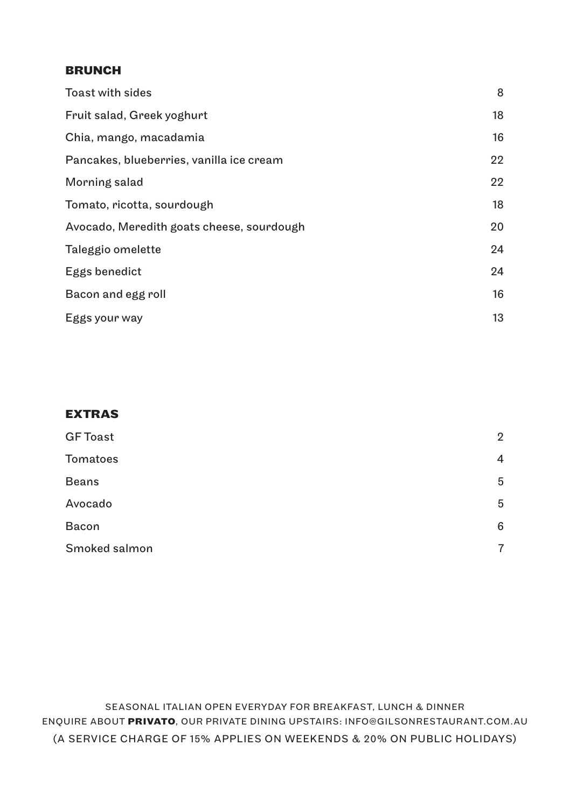#### **BRUNCH**

| Toast with sides                          | 8  |
|-------------------------------------------|----|
| Fruit salad, Greek yoghurt                | 18 |
| Chia, mango, macadamia                    | 16 |
| Pancakes, blueberries, vanilla ice cream  | 22 |
| Morning salad                             | 22 |
| Tomato, ricotta, sourdough                | 18 |
| Avocado, Meredith goats cheese, sourdough | 20 |
| Taleggio omelette                         | 24 |
| Eggs benedict                             | 24 |
| Bacon and egg roll                        | 16 |
| Eggs your way                             | 13 |

## **EXTRAS**

| $\overline{2}$ |
|----------------|
| 4              |
| 5              |
| 5              |
| 6              |
| $\overline{7}$ |
|                |

SEASONAL ITALIAN OPEN EVERYDAY FOR BREAKFAST, LUNCH & DINNER ENQUIRE ABOUT **PRIVATO**, OUR PRIVATE DINING UPSTAIRS: INFO@GILSONRESTAURANT.COM.AU (A SERVICE CHARGE OF 15% APPLIES ON WEEKENDS & 20% ON PUBLIC HOLIDAYS)